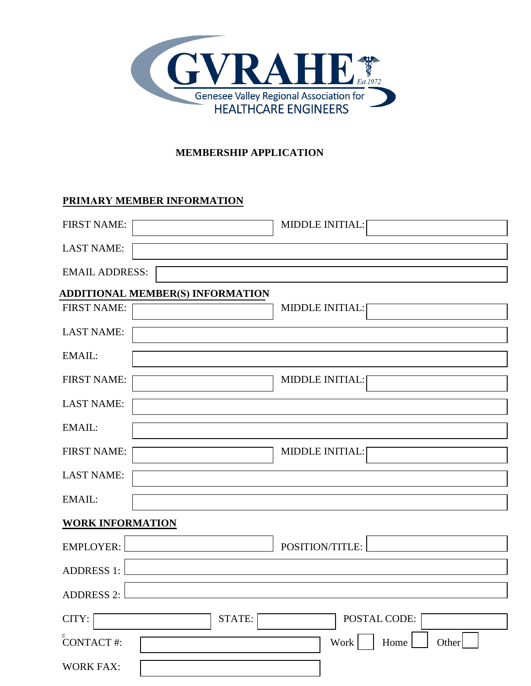

# **MEMBERSHIP APPLICATION**

# **PRIMARY MEMBER INFORMATION**

| <b>FIRST NAME:</b>                      | <b>MIDDLE INITIAL:</b> |
|-----------------------------------------|------------------------|
| <b>LAST NAME:</b>                       |                        |
| <b>EMAIL ADDRESS:</b>                   |                        |
| <b>ADDITIONAL MEMBER(S) INFORMATION</b> |                        |
| <b>FIRST NAME:</b>                      | <b>MIDDLE INITIAL:</b> |
| <b>LAST NAME:</b>                       |                        |
| EMAIL:                                  |                        |
| <b>FIRST NAME:</b>                      | <b>MIDDLE INITIAL:</b> |
| <b>LAST NAME:</b>                       |                        |
| EMAIL:                                  |                        |
| <b>FIRST NAME:</b>                      | <b>MIDDLE INITIAL:</b> |
| <b>LAST NAME:</b>                       |                        |
| EMAIL:                                  |                        |
| <b>WORK INFORMATION</b>                 |                        |
| <b>EMPLOYER:</b>                        | POSITION/TITLE:        |
| <b>ADDRESS 1:</b>                       |                        |
| <b>ADDRESS 2:</b>                       |                        |
| CITY:                                   | POSTAL CODE:<br>STATE: |
| <b>CONTACT#:</b>                        | Work<br>Home<br>Other  |
| <b>WORK FAX:</b>                        |                        |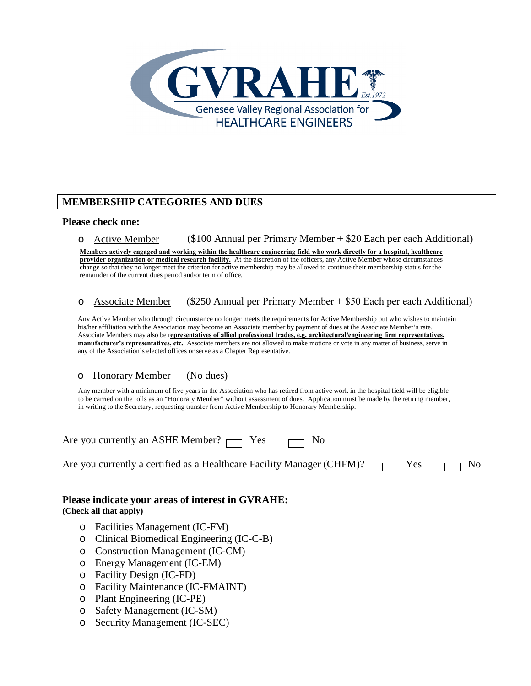

## **MEMBERSHIP CATEGORIES AND DUES**

#### **Please check one:**

o Active Member (\$100 Annual per Primary Member + \$20 Each per each Additional)

**Members actively engaged and working within the healthcare engineering field who work directly for a hospital, healthcare provider organization or medical research facility.** At the discretion of the officers, any Active Member whose circumstances change so that they no longer meet the criterion for active membership may be allowed to continue their membership status for the remainder of the current dues period and/or term of office.

#### o Associate Member (\$250 Annual per Primary Member + \$50 Each per each Additional)

Any Active Member who through circumstance no longer meets the requirements for Active Membership but who wishes to maintain his/her affiliation with the Association may become an Associate member by payment of dues at the Associate Member's rate. Associate Members may also be r**epresentatives of allied professional trades, e.g. architectural/engineering firm representatives, manufacturer's representatives, etc.** Associate members are not allowed to make motions or vote in any matter of business, serve in any of the Association's elected offices or serve as a Chapter Representative.

#### o Honorary Member (No dues)

Any member with a minimum of five years in the Association who has retired from active work in the hospital field will be eligible to be carried on the rolls as an "Honorary Member" without assessment of dues. Application must be made by the retiring member, in writing to the Secretary, requesting transfer from Active Membership to Honorary Membership.

Are you currently an ASHE Member?  $\Box$  Yes  $\Box$  No

Are you currently a certified as a Healthcare Facility Manager (CHFM)?  $\Box$  Yes  $\Box$  No

## **Please indicate your areas of interest in GVRAHE: (Check all that apply)**

- o Facilities Management (IC-FM)
- o Clinical Biomedical Engineering (IC-C-B)
- o Construction Management (IC-CM)
- o Energy Management (IC-EM)
- o Facility Design (IC-FD)
- o Facility Maintenance (IC-FMAINT)
- o Plant Engineering (IC-PE)
- o Safety Management (IC-SM)
- o Security Management (IC-SEC)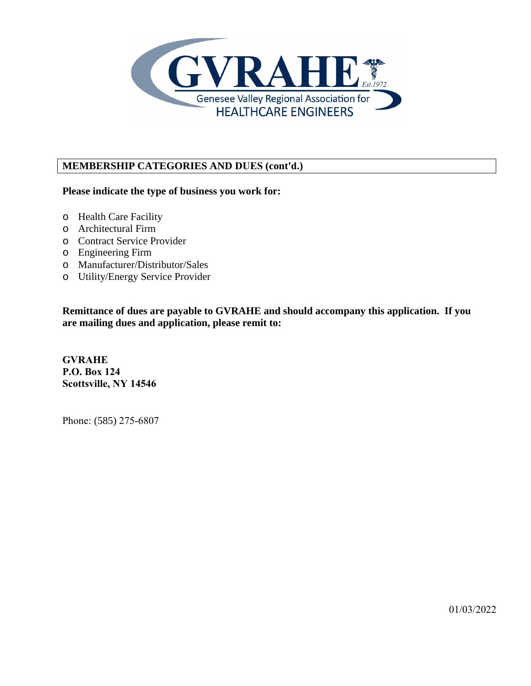

# **MEMBERSHIP CATEGORIES AND DUES (cont'd.)**

## **Please indicate the type of business you work for:**

- o Health Care Facility
- o Architectural Firm
- o Contract Service Provider
- o Engineering Firm
- o Manufacturer/Distributor/Sales
- o Utility/Energy Service Provider

**Remittance of dues are payable to GVRAHE and should accompany this application. If you are mailing dues and application, please remit to:** 

**GVRAHE P.O. Box 124 Scottsville, NY 14546**

Phone: (585) 275-6807